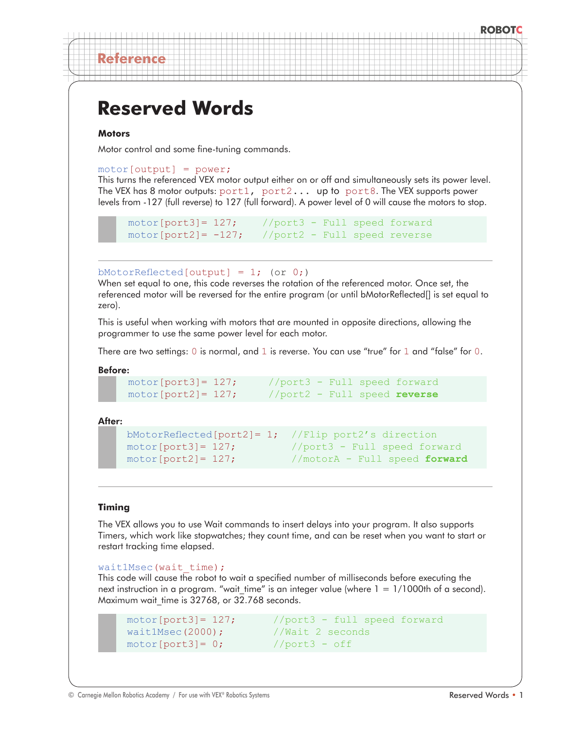# **ROBOTC**

# **Reserved Words**

## **Motors**

**Reference**

Motor control and some fine-tuning commands.

#### motor[output] = power;

This turns the referenced VEX motor output either on or off and simultaneously sets its power level. The VEX has 8 motor outputs:  $port1$ ,  $port2...$  up to  $port8$ . The VEX supports power levels from -127 (full reverse) to 127 (full forward). A power level of 0 will cause the motors to stop.

```
motor[port3]= 127; //port3 - Full speed forward 
motor[port2] = -127; //port2 - Full speed reverse
```
bMotorReflected[output] = 1; (or 0;)

When set equal to one, this code reverses the rotation of the referenced motor. Once set, the referenced motor will be reversed for the entire program (or until bMotorReflected[] is set equal to zero).

This is useful when working with motors that are mounted in opposite directions, allowing the programmer to use the same power level for each motor.

There are two settings:  $0$  is normal, and  $1$  is reverse. You can use "true" for  $1$  and "false" for  $0$ .

Before:

```
motor[port3]= 127; //port3 - Full speed forward 
motor[port2]= 127; //port2 - Full speed reverse
```
After:

```
 bMotorReflected[port2]= 1; //Flip port2's direction
 motor[port3]= 127; //port3 - Full speed forward 
motor[port2]= 127; //motorA - Full speed forward
```
## **Timing**

The VEX allows you to use Wait commands to insert delays into your program. It also supports Timers, which work like stopwatches; they count time, and can be reset when you want to start or restart tracking time elapsed.

```
wait1Msec(wait time);
```
This code will cause the robot to wait a specified number of milliseconds before executing the next instruction in a program. "wait time" is an integer value (where  $1 = 1/1000$ th of a second). Maximum wait time is 32768, or 32.768 seconds.

```
wait1Msec(2000); //Wait 2 seconds
motor[port3] = 0; //port3 - off
```
motor[port3]= 127; //port3 - full speed forward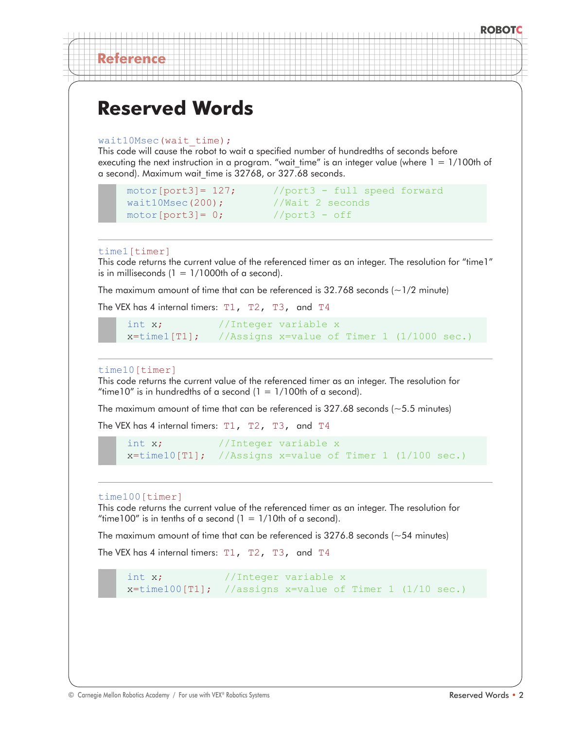# **ROBOTC**

# **Reserved Words**

```
wait10Msec(wait time);
```
This code will cause the robot to wait a specified number of hundredths of seconds before executing the next instruction in a program. "wait time" is an integer value (where  $1 = 1/100$ th of a second). Maximum wait time is 32768, or 327.68 seconds.

```
wait10Msec(200);
motor[port3] = 0; //port3 - off
```
motor[port3]=  $127$ ; //port3 - full speed forward<br>wait10Msec(200); //Wait 2 seconds

#### time1[timer]

**Reference**

This code returns the current value of the referenced timer as an integer. The resolution for "time1" is in milliseconds  $(1 = 1/1000$ th of a second).

The maximum amount of time that can be referenced is  $32.768$  seconds ( $\sim$ 1/2 minute)

The VEX has 4 internal timers:  $T1$ ,  $T2$ ,  $T3$ , and  $T4$ 

```
int x; //Integer variable x
x = time1[T1]; //Assigns x = value of Timer 1 (1/1000 sec.)
```
#### time10[timer]

This code returns the current value of the referenced timer as an integer. The resolution for "time10" is in hundredths of a second  $(1 = 1/100$ th of a second).

The maximum amount of time that can be referenced is  $327.68$  seconds ( $\sim$  5.5 minutes)

The VEX has 4 internal timers: T1, T2, T3, and T4

int x; //Integer variable x x=time10[T1]; //Assigns x=value of Timer 1 (1/100 sec.)

#### time100[timer]

This code returns the current value of the referenced timer as an integer. The resolution for "time100" is in tenths of a second  $(1 = 1/10$ th of a second).

The maximum amount of time that can be referenced is  $3276.8$  seconds ( $\sim$  54 minutes)

The VEX has 4 internal timers: T1, T2, T3, and T4

int x; //Integer variable x  $x = time100[T1];$  //assigns x=value of Timer 1 (1/10 sec.)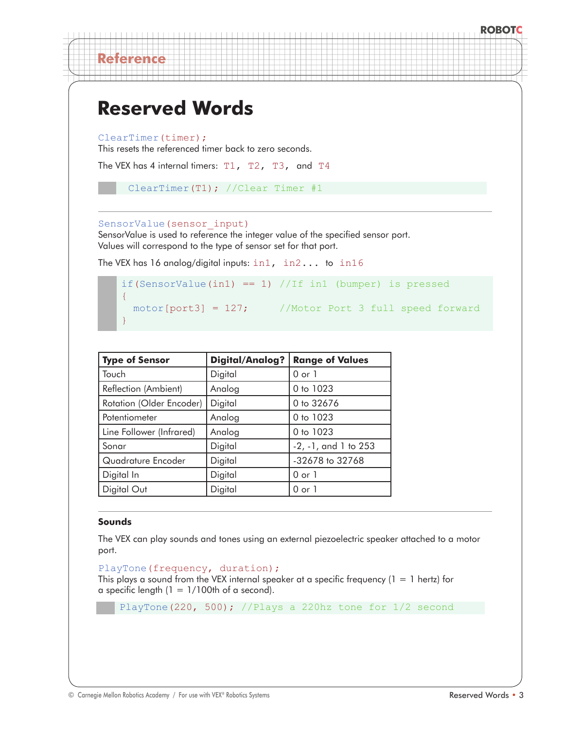ClearTimer(timer);

**Reference**

This resets the referenced timer back to zero seconds.

```
The VEX has 4 internal timers: T1, T2, T3, and T4
```

```
ClearTimer(T1); //Clear Timer #1
```
#### SensorValue(sensor\_input)

SensorValue is used to reference the integer value of the specified sensor port. Values will correspond to the type of sensor set for that port.

The VEX has 16 analog/digital inputs: in1, in2... to in16

```
if(SensorValue(in1) == 1) //If in1 (bumper) is pressed
{
  motor[port3] = 127; //Motor Port 3 full speed forward
}
```

| <b>Type of Sensor</b>    | <b>Digital/Analog?</b> | <b>Range of Values</b>     |  |
|--------------------------|------------------------|----------------------------|--|
| Touch                    | Digital                | $0$ or $1$                 |  |
| Reflection (Ambient)     | Analog                 | 0 to 1023                  |  |
| Rotation (Older Encoder) | Digital                | 0 to 32676                 |  |
| Potentiometer            | Analog                 | 0 to 1023                  |  |
| Line Follower (Infrared) | Analog                 | 0 to 1023                  |  |
| Sonar                    | Digital                | $-2$ , $-1$ , and 1 to 253 |  |
| Quadrature Encoder       | Digital                | -32678 to 32768            |  |
| Digital In               | Digital                | $0$ or $1$                 |  |
| Digital Out              | Digital                | 0 or 1                     |  |

## **Sounds**

The VEX can play sounds and tones using an external piezoelectric speaker attached to a motor port.

```
PlayTone(frequency, duration);
This plays a sound from the VEX internal speaker at a specific frequency (1 = 1 \text{ hertz}) for
a specific length (1 = 1/100th of a second).
```
PlayTone(220, 500); //Plays a 220hz tone for 1/2 second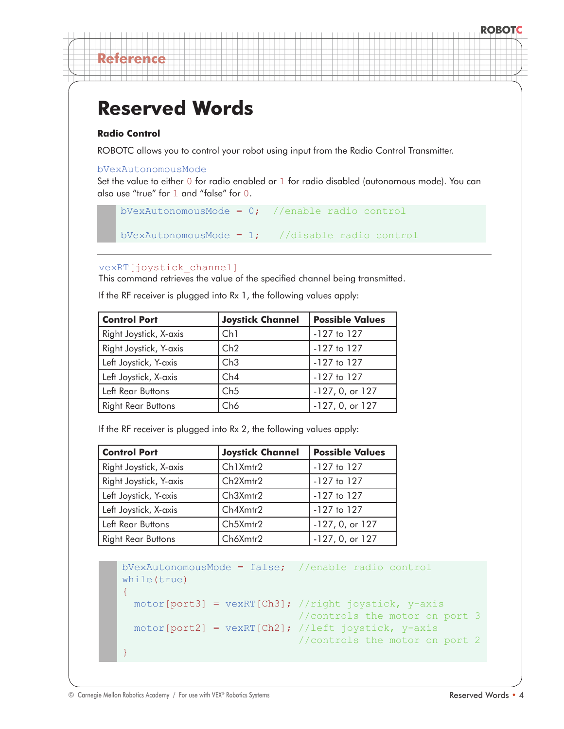## **Radio Control**

**Reference**

ROBOTC allows you to control your robot using input from the Radio Control Transmitter.

#### bVexAutonomousMode

Set the value to either 0 for radio enabled or 1 for radio disabled (autonomous mode). You can also use "true" for 1 and "false" for 0.

```
bVexAutonomousMode = 0; //enable radio control
```

```
bVexAutonomousMode = 1; //disable radio control
```
## vexRT[joystick\_channel]

This command retrieves the value of the specified channel being transmitted.

If the RF receiver is plugged into Rx 1, the following values apply:

| <b>Control Port</b>       | <b>Joystick Channel</b> | <b>Possible Values</b> |  |
|---------------------------|-------------------------|------------------------|--|
| Right Joystick, X-axis    | Ch1                     | $-127$ to $127$        |  |
| Right Joystick, Y-axis    | Ch2                     | $-127$ to $127$        |  |
| Left Joystick, Y-axis     | Ch3                     | $-127$ to $127$        |  |
| Left Joystick, X-axis     | Ch4                     | $-127$ to $127$        |  |
| Left Rear Buttons         | Ch5                     | -127, 0, or 127        |  |
| <b>Right Rear Buttons</b> | Ch6                     | -127, 0, or 127        |  |

If the RF receiver is plugged into Rx 2, the following values apply:

| <b>Control Port</b>       | <b>Joystick Channel</b> | <b>Possible Values</b> |
|---------------------------|-------------------------|------------------------|
| Right Joystick, X-axis    | Ch1Xmtr2                | -127 to 127            |
| Right Joystick, Y-axis    | Ch2Xmtr2                | $-127$ to $127$        |
| Left Joystick, Y-axis     | Ch3Xmtr2                | -127 to 127            |
| Left Joystick, X-axis     | Ch4Xmtr2                | $-127$ to $127$        |
| Left Rear Buttons         | Ch5Xmtr2                | $-127, 0,$ or $127$    |
| <b>Right Rear Buttons</b> | Ch6Xmtr2                | -127, 0, or 127        |

```
bVexAutonomousMode = false; //enable radio control
while(true)
{
 motor[port3] = vexRT[Ch3]; // right joystick, y-axis //controls the motor on port 3
 motor[port2] = vexRT[Ch2]; //left joystick, y-axis
                              //controls the motor on port 2
}
```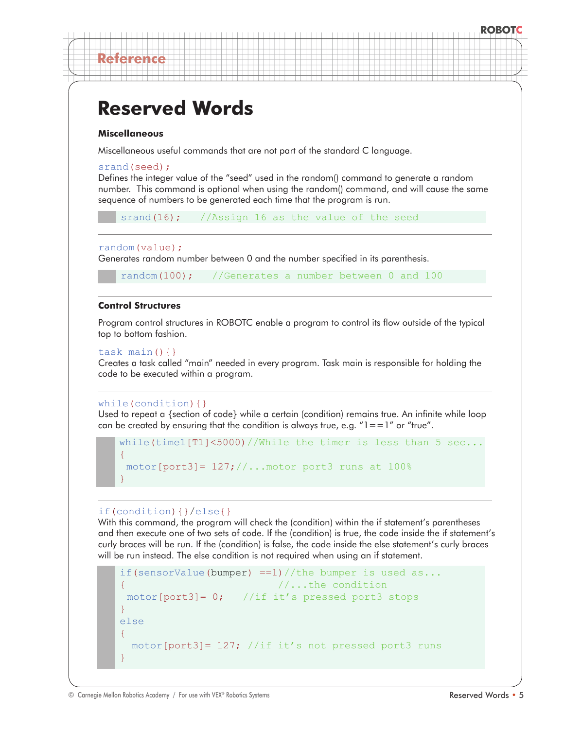#### **Miscellaneous**

**Reference**

Miscellaneous useful commands that are not part of the standard C language.

#### srand(seed);

Defines the integer value of the "seed" used in the random() command to generate a random number. This command is optional when using the random() command, and will cause the same sequence of numbers to be generated each time that the program is run.

srand(16); //Assign 16 as the value of the seed

#### random(value);

Generates random number between 0 and the number specified in its parenthesis.

random(100); //Generates a number between 0 and 100

#### **Control Structures**

Program control structures in ROBOTC enable a program to control its flow outside of the typical top to bottom fashion.

#### task main $()$  $\}$

Creates a task called "main" needed in every program. Task main is responsible for holding the code to be executed within a program.

#### while(condition){}

Used to repeat a {section of code} while a certain (condition) remains true. An infinite while loop can be created by ensuring that the condition is always true, e.g.  $"l == 1"$  or "true".

```
while(time1[T1]<5000)//While the timer is less than 5 sec...
{ 
motor[port3]= 127;//...motor port3 runs at 100%
}
```
## if(condition){}/else{}

With this command, the program will check the (condition) within the if statement's parentheses and then execute one of two sets of code. If the (condition) is true, the code inside the if statement's curly braces will be run. If the (condition) is false, the code inside the else statement's curly braces will be run instead. The else condition is not required when using an if statement.

```
if(sensorValue(bumper) ==1)//the bumper is used as...
{ //...the condition
motor[port3]= 0; //if it's pressed port3 stops 
}
else 
{
  motor[port3]= 127; //if it's not pressed port3 runs
}
```